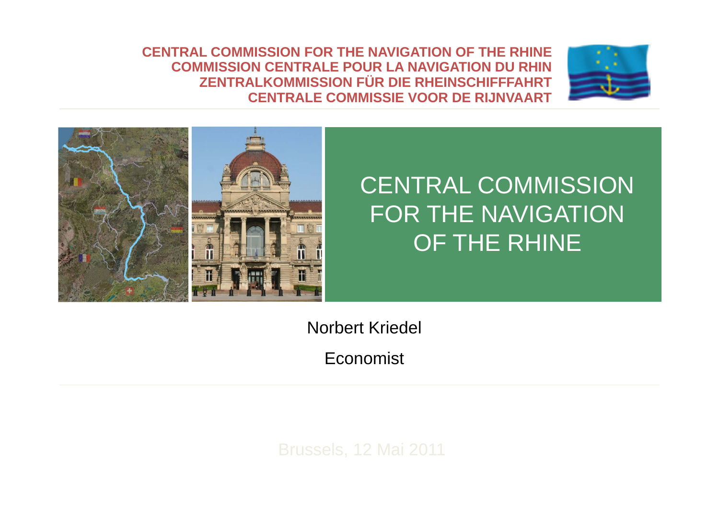**CENTRAL COMMISSION FOR THE NAVIGATION OF THE RHINECOMMISSION CENTRALE POUR LA NAVIGATION DU RHIN ZENTRALKOMMISSION FÜR DIE RHEINSCHIFFFAHRT CENTRALE COMMISSIE VOOR DE RIJNVAART**





## CENTRAL COMMISSION FOR THE NAVIGATION OF THE RHINE

Norbert Kriedel

Economist

Brussels, 12 Mai 2011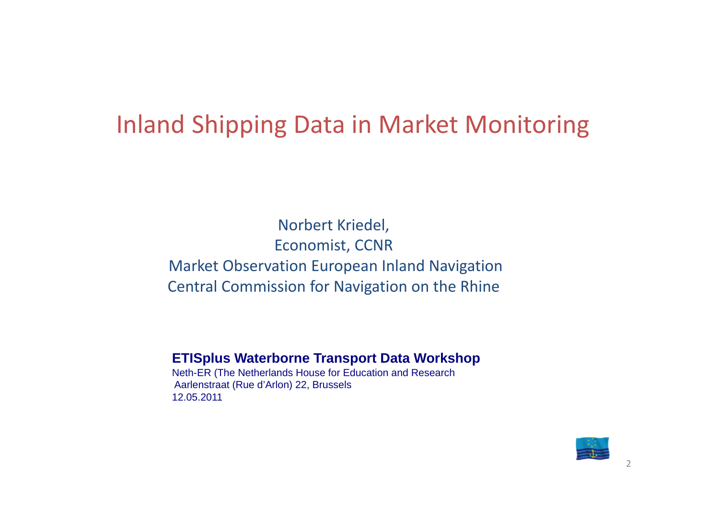### Inland Shipping Data in Market Monitoring

Norbert Kriedel, Economist, CCNR Market Observation European Inland Navigation Central Commission for Navigation on the Rhine

#### **ETISplus Waterborne Transport Data Workshop**

Neth-ER (The Netherlands House for Education and Research Aarlenstraat (Rue d'Arlon) 22, Brussels 12.05.2011

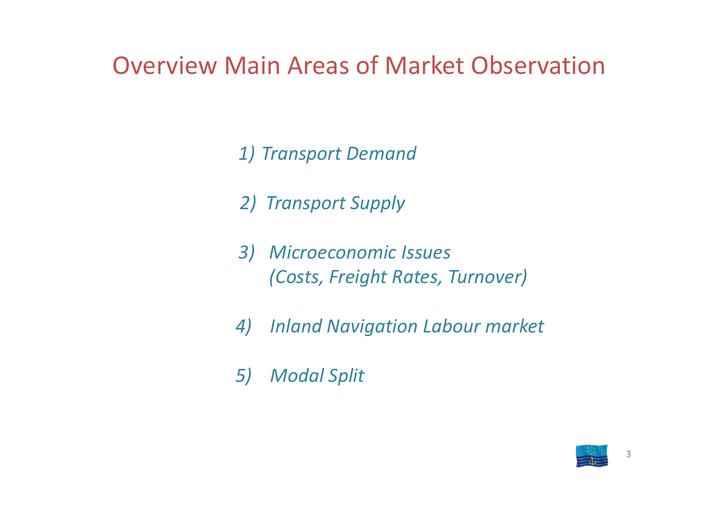## Overview Main Areas of Market Observation

*1) Transport Demand*

*2) Transport Supply*

*3) Microeconomic Issues (Costs, Freight Rates, Turnover)*

*4) Inland Navigation Labour market*

*5) Modal Split*

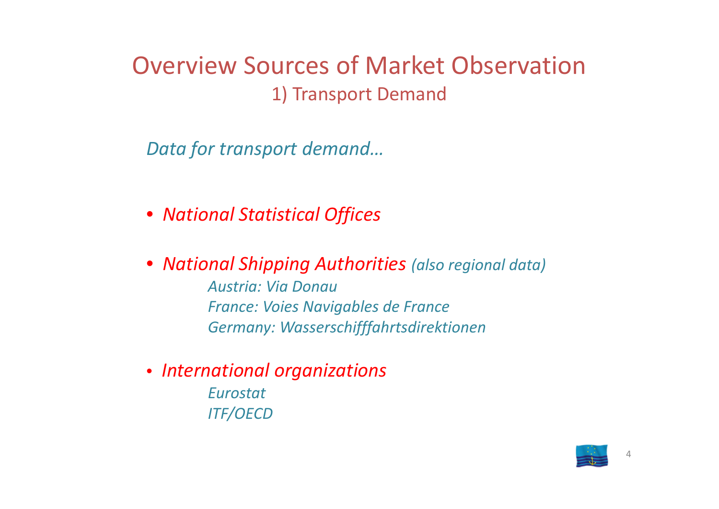#### Overview Sources of Market Observation1) Transport Demand

*Data for transport demand…*

- *National Statistical Offices*
- *National Shipping Authorities (also regional data) Austria: Via DonauFrance: Voies Navigables de France Germany: Wasserschifffahrtsdirektionen*
- *International organizations EurostatITF/OECD*

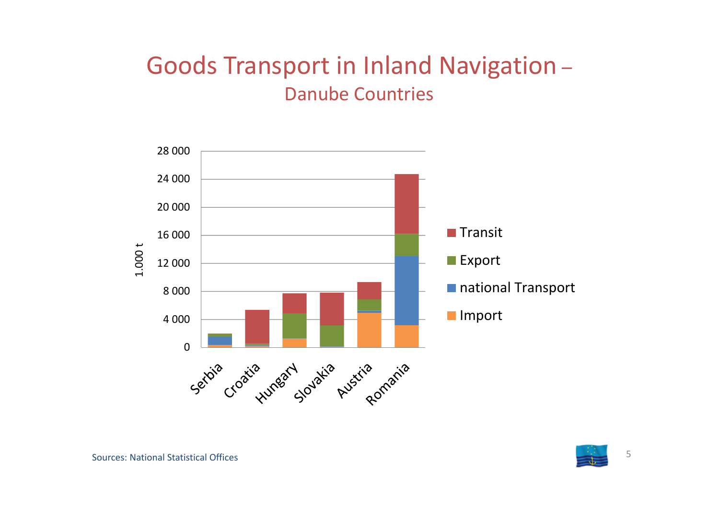#### Goods Transport in Inland Navigation – Danube Countries



5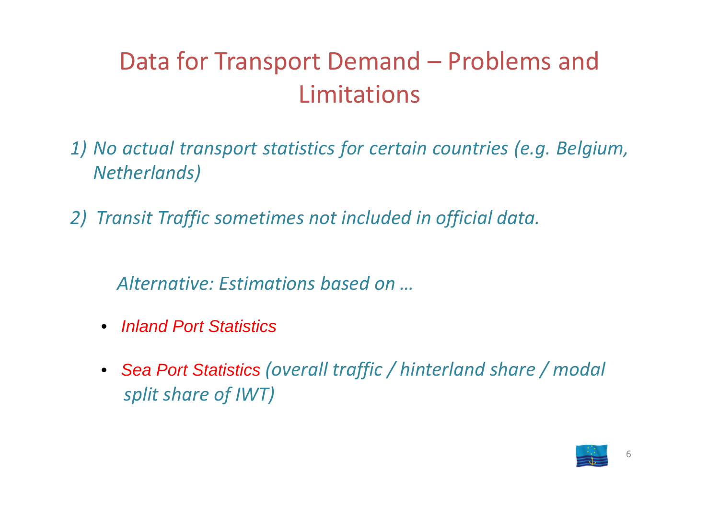# Data for Transport Demand – Problems and Limitations

- *1) No actual transport statistics for certain countries (e.g. Belgium, Netherlands)*
- *2) Transit Traffic sometimes not included in official data.*
	- *Alternative: Estimations based on …*
	- $\bullet$ *Inland Port Statistics*
	- *Sea Port Statistics (overall traffic / hinterland share / modal split share of IWT)*

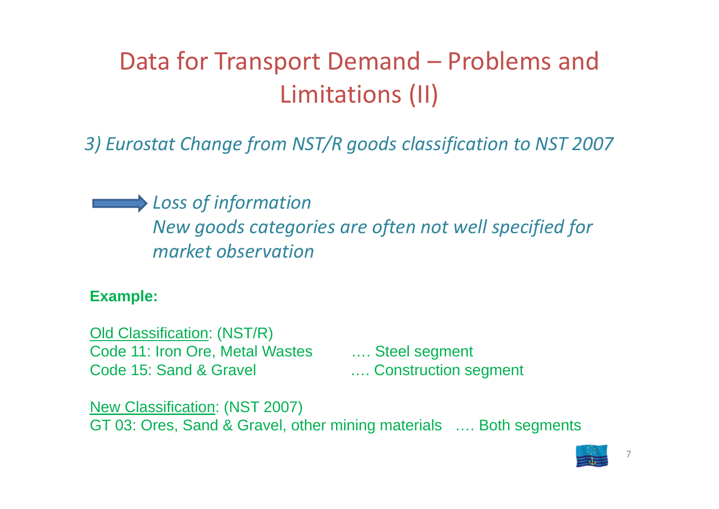# Data for Transport Demand – Problems and Limitations (II)

*3) Eurostat Change from NST/R goods classification to NST 2007*

*Loss of information New goods categories are often not well specified for market observation*

#### **Example:**

Old Classification: (NST/R) Code 11: Iron Ore, Metal Wastes …. Steel segment Code 15: Sand & Gravel **Example 2.1. Construction segment** 

New Classification: (NST 2007) GT 03: Ores, Sand & Gravel, other mining materials …. Both segments

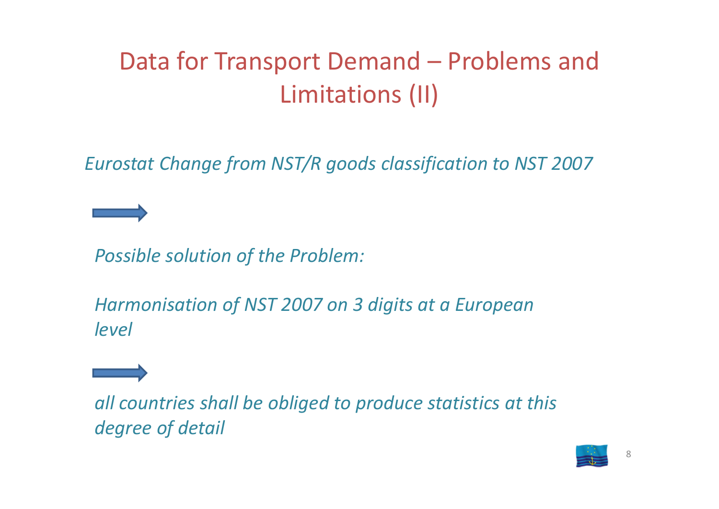# Data for Transport Demand – Problems and Limitations (II)

*Eurostat Change from NST/R goods classification to NST 2007*

*Possible solution of the Problem:*

*Harmonisation of NST 2007 on 3 digits at <sup>a</sup> European level*



*all countries shall be obliged to produce statistics at this degree of detail*

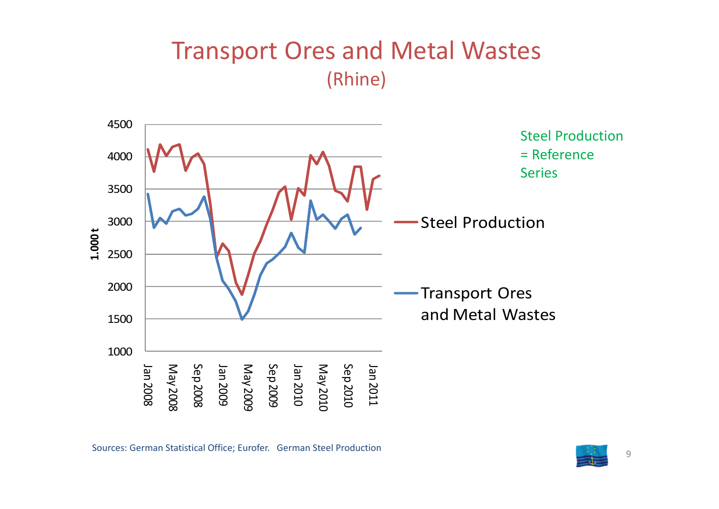#### Transport Ores and Metal Wastes (Rhine)



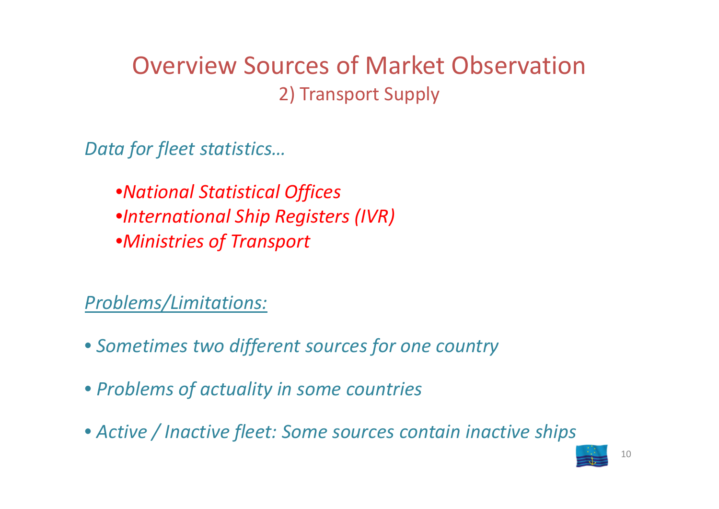### Overview Sources of Market Observation2) Transport Supply

*Data for fleet statistics…*

•*National Statistical Offices* •*International Ship Registers (IVR)* •*Ministries of Transport*

*Problems/Limitations:*

- *Sometimes two different sources for one country*
- *Problems of actuality in some countries*
- *Active / Inactive fleet: Some sources contain inactive ships*

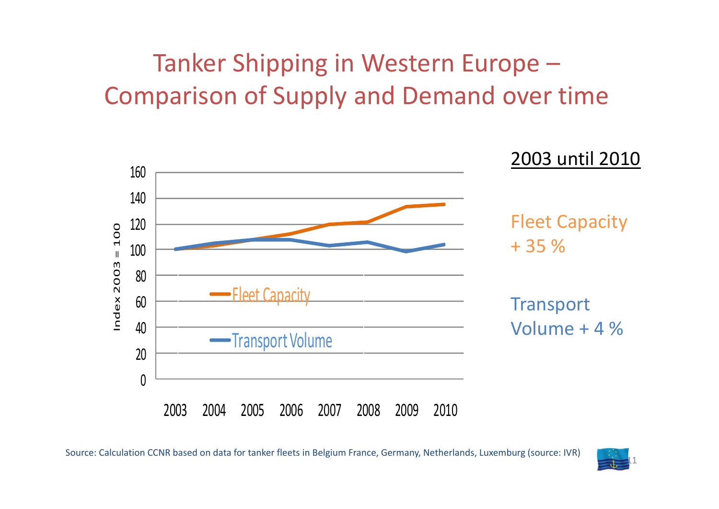## Tanker Shipping in Western Europe – Comparison of Supply and Demand over time



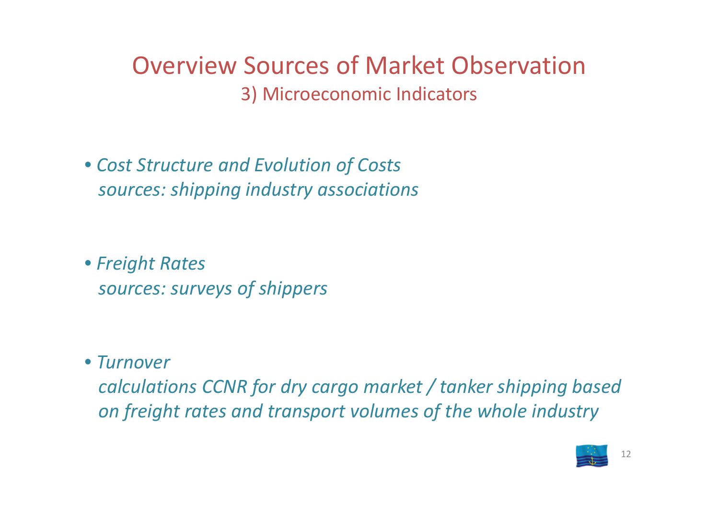Overview Sources of Market Observation3) Microeconomic Indicators

• *Cost Structure and Evolution of Costs sources: shipping industry associations*

• *Freight Rates sources: surveys of shippers*

• *Turnover*

*calculations CCNR for dry cargo market / tanker shipping based on freight rates and transport volumes of the whole industry*

12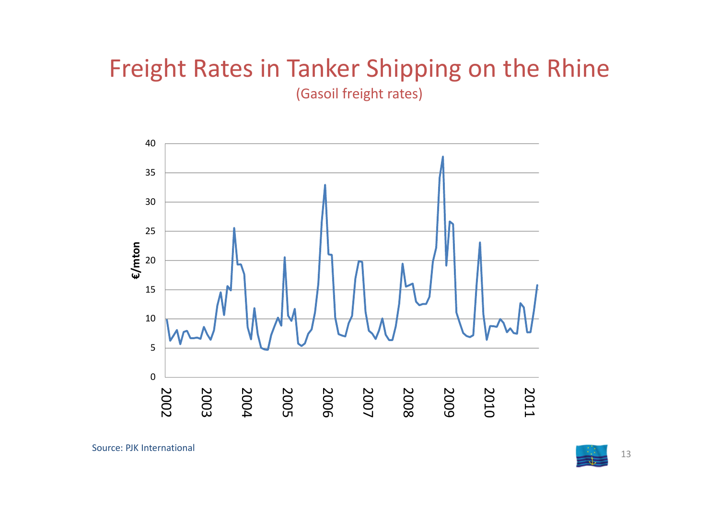# Freight Rates in Tanker Shipping on the Rhine

(Gasoil freight rates)



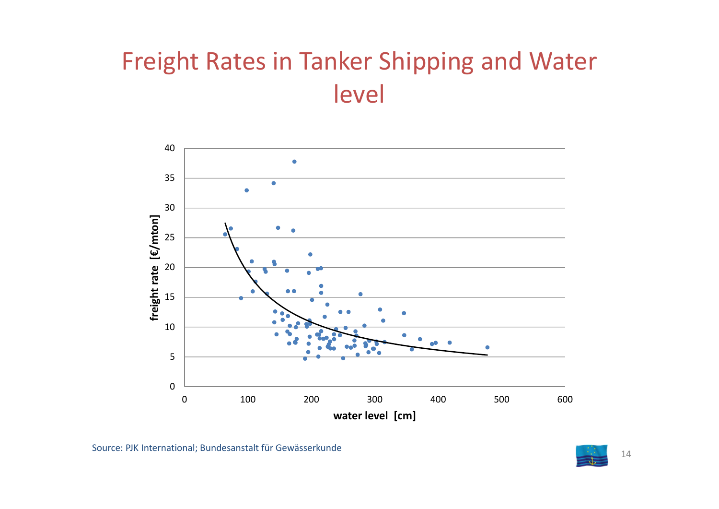## Freight Rates in Tanker Shipping and Water level



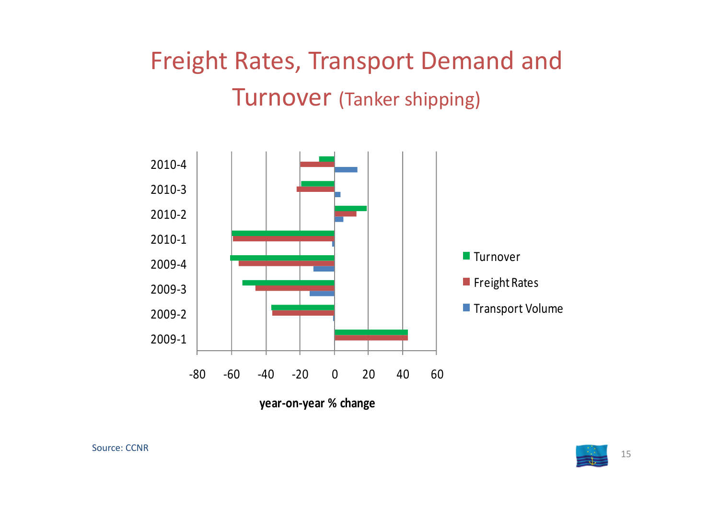# Freight Rates, Transport Demand and Turnover (Tanker shipping)



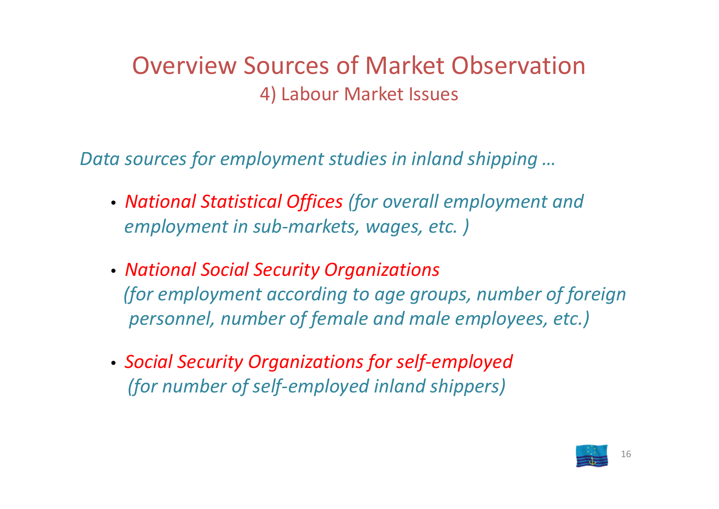#### Overview Sources of Market Observation4) Labour Market Issues

*Data sources for employment studies in inland shipping …*

- *National Statistical Offices (for overall employment and employment in sub ‐markets, wages, etc. )*
- *National Social Security Organizations (for employment according to age groups, number of foreign personnel, number of female and male employees, etc.)*
- *Social Security Organizations for self‐employed (for number of self‐employed inland shippers)*

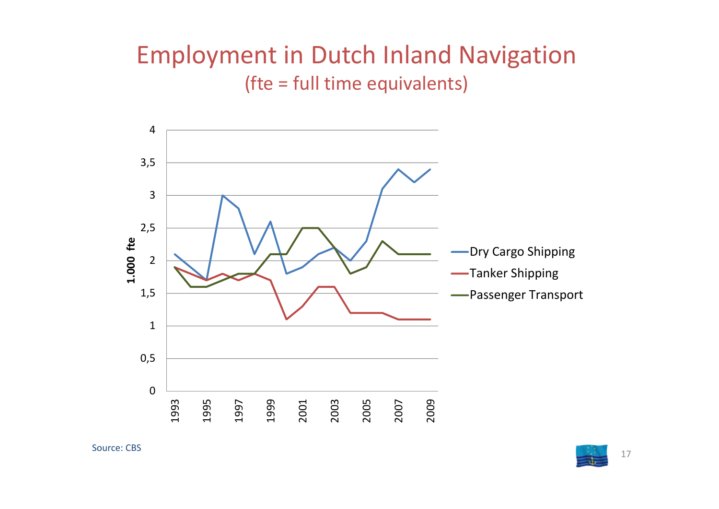#### Employment in Dutch Inland Navigation (fte <sup>=</sup> full time equivalents)



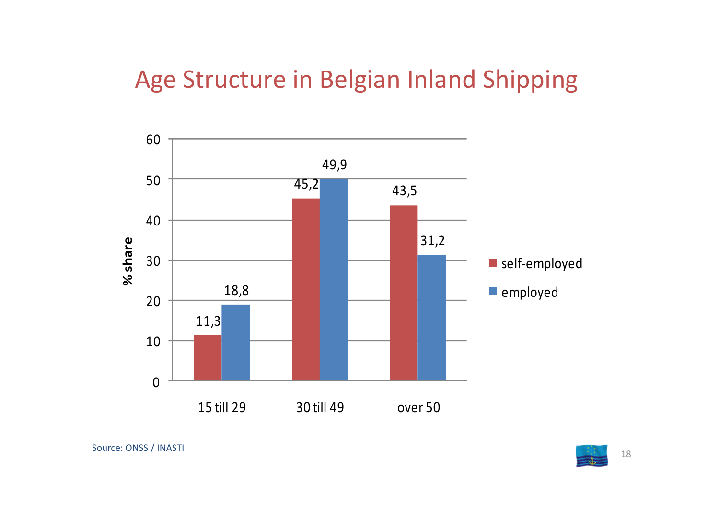### Age Structure in Belgian Inland Shipping



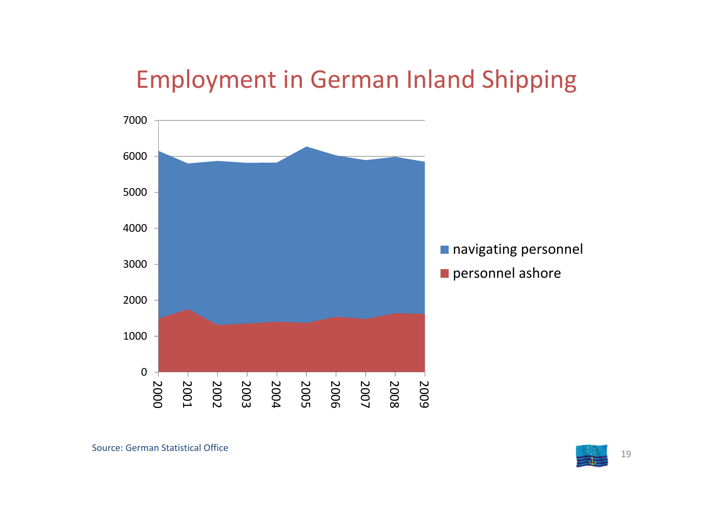### Employment in German Inland Shipping